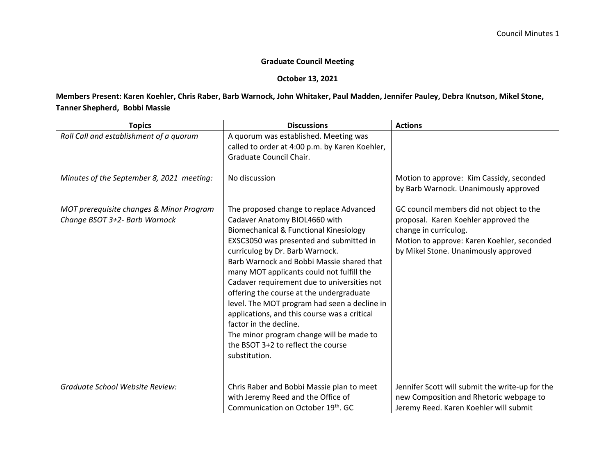## **Graduate Council Meeting**

## **October 13, 2021**

## **Members Present: Karen Koehler, Chris Raber, Barb Warnock, John Whitaker, Paul Madden, Jennifer Pauley, Debra Knutson, Mikel Stone, Tanner Shepherd, Bobbi Massie**

| <b>Topics</b>                                                             | <b>Discussions</b>                                                                                                                                                                                                                                                                                                                                                                                                                                                                                                                                                                                                 | <b>Actions</b>                                                                                                                                                                                  |
|---------------------------------------------------------------------------|--------------------------------------------------------------------------------------------------------------------------------------------------------------------------------------------------------------------------------------------------------------------------------------------------------------------------------------------------------------------------------------------------------------------------------------------------------------------------------------------------------------------------------------------------------------------------------------------------------------------|-------------------------------------------------------------------------------------------------------------------------------------------------------------------------------------------------|
| Roll Call and establishment of a quorum                                   | A quorum was established. Meeting was<br>called to order at 4:00 p.m. by Karen Koehler,<br>Graduate Council Chair.                                                                                                                                                                                                                                                                                                                                                                                                                                                                                                 |                                                                                                                                                                                                 |
| Minutes of the September 8, 2021 meeting:                                 | No discussion                                                                                                                                                                                                                                                                                                                                                                                                                                                                                                                                                                                                      | Motion to approve: Kim Cassidy, seconded<br>by Barb Warnock. Unanimously approved                                                                                                               |
| MOT prerequisite changes & Minor Program<br>Change BSOT 3+2- Barb Warnock | The proposed change to replace Advanced<br>Cadaver Anatomy BIOL4660 with<br>Biomechanical & Functional Kinesiology<br>EXSC3050 was presented and submitted in<br>curriculog by Dr. Barb Warnock.<br>Barb Warnock and Bobbi Massie shared that<br>many MOT applicants could not fulfill the<br>Cadaver requirement due to universities not<br>offering the course at the undergraduate<br>level. The MOT program had seen a decline in<br>applications, and this course was a critical<br>factor in the decline.<br>The minor program change will be made to<br>the BSOT 3+2 to reflect the course<br>substitution. | GC council members did not object to the<br>proposal. Karen Koehler approved the<br>change in curriculog.<br>Motion to approve: Karen Koehler, seconded<br>by Mikel Stone. Unanimously approved |
| Graduate School Website Review:                                           | Chris Raber and Bobbi Massie plan to meet<br>with Jeremy Reed and the Office of<br>Communication on October 19th. GC                                                                                                                                                                                                                                                                                                                                                                                                                                                                                               | Jennifer Scott will submit the write-up for the<br>new Composition and Rhetoric webpage to<br>Jeremy Reed. Karen Koehler will submit                                                            |